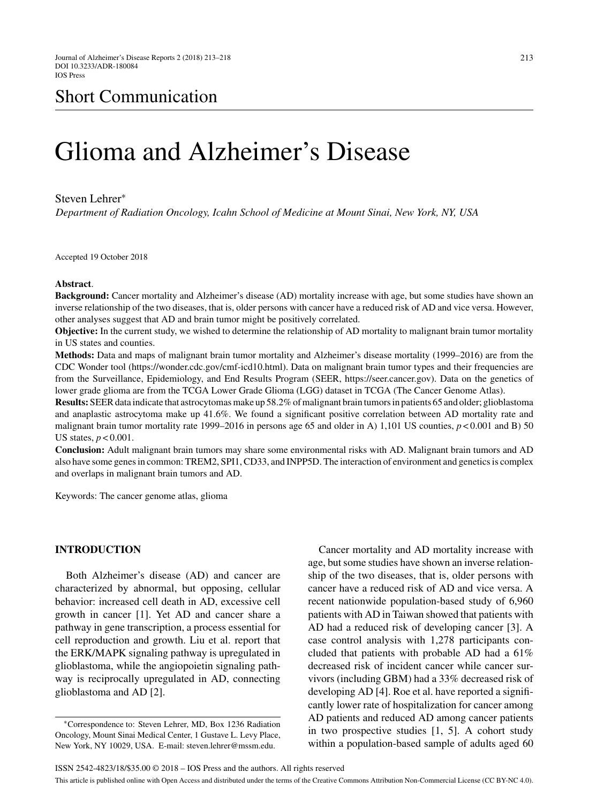# Glioma and Alzheimer's Disease

#### Steven Lehrer<sup>∗</sup>

*Department of Radiation Oncology, Icahn School of Medicine at Mount Sinai, New York, NY, USA*

Accepted 19 October 2018

#### **Abstract**.

**Background:** Cancer mortality and Alzheimer's disease (AD) mortality increase with age, but some studies have shown an inverse relationship of the two diseases, that is, older persons with cancer have a reduced risk of AD and vice versa. However, other analyses suggest that AD and brain tumor might be positively correlated.

**Objective:** In the current study, we wished to determine the relationship of AD mortality to malignant brain tumor mortality in US states and counties.

**Methods:** Data and maps of malignant brain tumor mortality and Alzheimer's disease mortality (1999–2016) are from the CDC Wonder tool (https://wonder.cdc.gov/cmf-icd10.html). Data on malignant brain tumor types and their frequencies are from the Surveillance, Epidemiology, and End Results Program (SEER, https://seer.cancer.gov). Data on the genetics of lower grade glioma are from the TCGA Lower Grade Glioma (LGG) dataset in TCGA (The Cancer Genome Atlas).

**Results:** SEER data indicate that astrocytomas make up 58.2% of malignant brain tumors in patients 65 and older; glioblastoma and anaplastic astrocytoma make up 41.6%. We found a significant positive correlation between AD mortality rate and malignant brain tumor mortality rate 1999–2016 in persons age 65 and older in A) 1,101 US counties,  $p < 0.001$  and B) 50 US states, *p* < 0.001.

**Conclusion:** Adult malignant brain tumors may share some environmental risks with AD. Malignant brain tumors and AD also have some genes in common: TREM2, SPI1, CD33, and INPP5D. The interaction of environment and genetics is complex and overlaps in malignant brain tumors and AD.

Keywords: The cancer genome atlas, glioma

## **INTRODUCTION**

Both Alzheimer's disease (AD) and cancer are characterized by abnormal, but opposing, cellular behavior: increased cell death in AD, excessive cell growth in cancer [1]. Yet AD and cancer share a pathway in gene transcription, a process essential for cell reproduction and growth. Liu et al. report that the ERK/MAPK signaling pathway is upregulated in glioblastoma, while the angiopoietin signaling pathway is reciprocally upregulated in AD, connecting glioblastoma and AD [2].

Cancer mortality and AD mortality increase with age, but some studies have shown an inverse relationship of the two diseases, that is, older persons with cancer have a reduced risk of AD and vice versa. A recent nationwide population-based study of 6,960 patients with AD in Taiwan showed that patients with AD had a reduced risk of developing cancer [3]. A case control analysis with 1,278 participants concluded that patients with probable AD had a 61% decreased risk of incident cancer while cancer survivors (including GBM) had a 33% decreased risk of developing AD [4]. Roe et al. have reported a significantly lower rate of hospitalization for cancer among AD patients and reduced AD among cancer patients in two prospective studies [1, 5]. A cohort study within a population-based sample of adults aged 60

<sup>∗</sup>Correspondence to: Steven Lehrer, MD, Box 1236 Radiation Oncology, Mount Sinai Medical Center, 1 Gustave L. Levy Place, New York, NY 10029, USA. E-mail: [steven.lehrer@mssm.edu.](mailto:steven.lehrer@mssm.edu)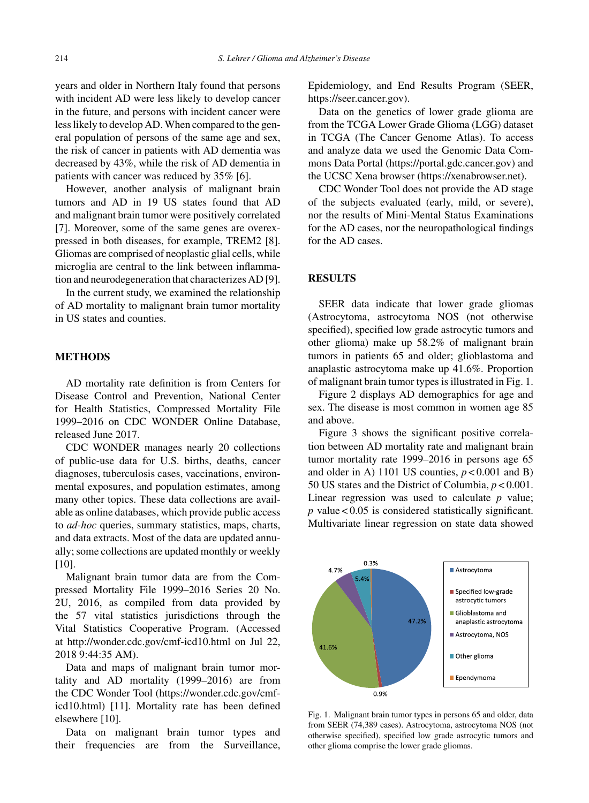years and older in Northern Italy found that persons with incident AD were less likely to develop cancer in the future, and persons with incident cancer were less likely to develop AD. When compared to the general population of persons of the same age and sex, the risk of cancer in patients with AD dementia was decreased by 43%, while the risk of AD dementia in patients with cancer was reduced by 35% [6].

However, another analysis of malignant brain tumors and AD in 19 US states found that AD and malignant brain tumor were positively correlated [7]. Moreover, some of the same genes are overexpressed in both diseases, for example, TREM2 [8]. Gliomas are comprised of neoplastic glial cells, while microglia are central to the link between inflammation and neurodegeneration that characterizes AD [9].

In the current study, we examined the relationship of AD mortality to malignant brain tumor mortality in US states and counties.

## **METHODS**

AD mortality rate definition is from Centers for Disease Control and Prevention, National Center for Health Statistics, Compressed Mortality File 1999–2016 on CDC WONDER Online Database, released June 2017.

CDC WONDER manages nearly 20 collections of public-use data for U.S. births, deaths, cancer diagnoses, tuberculosis cases, vaccinations, environmental exposures, and population estimates, among many other topics. These data collections are available as online databases, which provide public access to *ad-hoc* queries, summary statistics, maps, charts, and data extracts. Most of the data are updated annually; some collections are updated monthly or weekly [10].

Malignant brain tumor data are from the Compressed Mortality File 1999–2016 Series 20 No. 2U, 2016, as compiled from data provided by the 57 vital statistics jurisdictions through the Vital Statistics Cooperative Program. (Accessed at<http://wonder.cdc.gov/cmf-icd10.html> on Jul 22, 2018 9:44:35 AM).

Data and maps of malignant brain tumor mortality and AD mortality (1999–2016) are from the CDC Wonder Tool [\(https://wonder.cdc.gov/cmf](https://wonder.cdc.gov/cmf-icd10.html)icd10.html) [11]. Mortality rate has been defined elsewhere [10].

Data on malignant brain tumor types and their frequencies are from the Surveillance,

Epidemiology, and End Results Program (SEER, <https://seer.cancer.gov>).

Data on the genetics of lower grade glioma are from the TCGA Lower Grade Glioma (LGG) dataset in TCGA (The Cancer Genome Atlas). To access and analyze data we used the Genomic Data Commons Data Portal ([https://portal.gdc.cancer.gov\)](https://portal.gdc.cancer.gov) and the UCSC Xena browser [\(https://xenabrowser.net](https://xenabrowser.net)).

CDC Wonder Tool does not provide the AD stage of the subjects evaluated (early, mild, or severe), nor the results of Mini-Mental Status Examinations for the AD cases, nor the neuropathological findings for the AD cases.

## **RESULTS**

SEER data indicate that lower grade gliomas (Astrocytoma, astrocytoma NOS (not otherwise specified), specified low grade astrocytic tumors and other glioma) make up 58.2% of malignant brain tumors in patients 65 and older; glioblastoma and anaplastic astrocytoma make up 41.6%. Proportion of malignant brain tumor types is illustrated in Fig. 1.

Figure 2 displays AD demographics for age and sex. The disease is most common in women age 85 and above.

Figure 3 shows the significant positive correlation between AD mortality rate and malignant brain tumor mortality rate 1999–2016 in persons age 65 and older in A) 1101 US counties,  $p < 0.001$  and B) 50 US states and the District of Columbia, *p* < 0.001. Linear regression was used to calculate *p* value; *p* value < 0.05 is considered statistically significant. Multivariate linear regression on state data showed



Fig. 1. Malignant brain tumor types in persons 65 and older, data from SEER (74,389 cases). Astrocytoma, astrocytoma NOS (not otherwise specified), specified low grade astrocytic tumors and other glioma comprise the lower grade gliomas.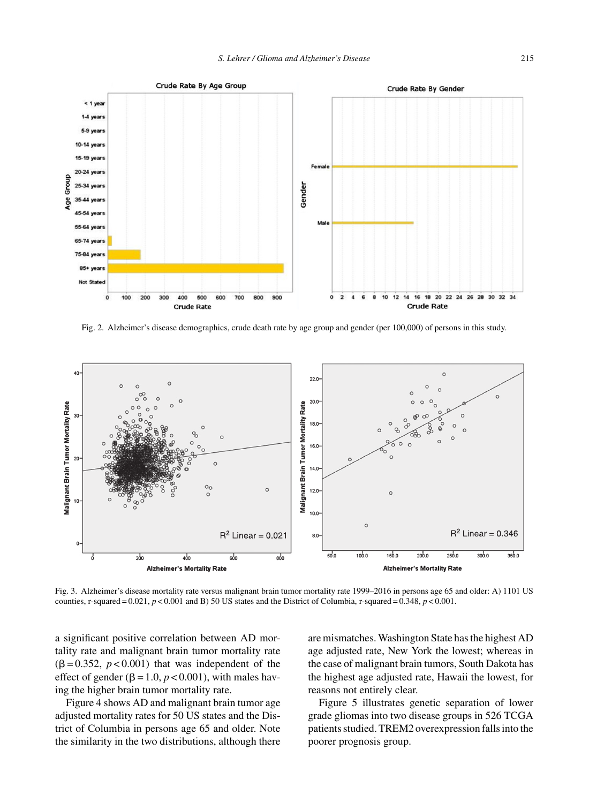

Fig. 2. Alzheimer's disease demographics, crude death rate by age group and gender (per 100,000) of persons in this study.



Fig. 3. Alzheimer's disease mortality rate versus malignant brain tumor mortality rate 1999–2016 in persons age 65 and older: A) 1101 US counties, r-squared =  $0.021$ ,  $p < 0.001$  and B) 50 US states and the District of Columbia, r-squared =  $0.348$ ,  $p < 0.001$ .

a significant positive correlation between AD mortality rate and malignant brain tumor mortality rate  $(\beta = 0.352, p < 0.001)$  that was independent of the effect of gender ( $\beta$  = 1.0,  $p$  < 0.001), with males having the higher brain tumor mortality rate.

Figure 4 shows AD and malignant brain tumor age adjusted mortality rates for 50 US states and the District of Columbia in persons age 65 and older. Note the similarity in the two distributions, although there

are mismatches. Washington State has the highest AD age adjusted rate, New York the lowest; whereas in the case of malignant brain tumors, South Dakota has the highest age adjusted rate, Hawaii the lowest, for reasons not entirely clear.

Figure 5 illustrates genetic separation of lower grade gliomas into two disease groups in 526 TCGA patients studied. TREM2 overexpression falls into the poorer prognosis group.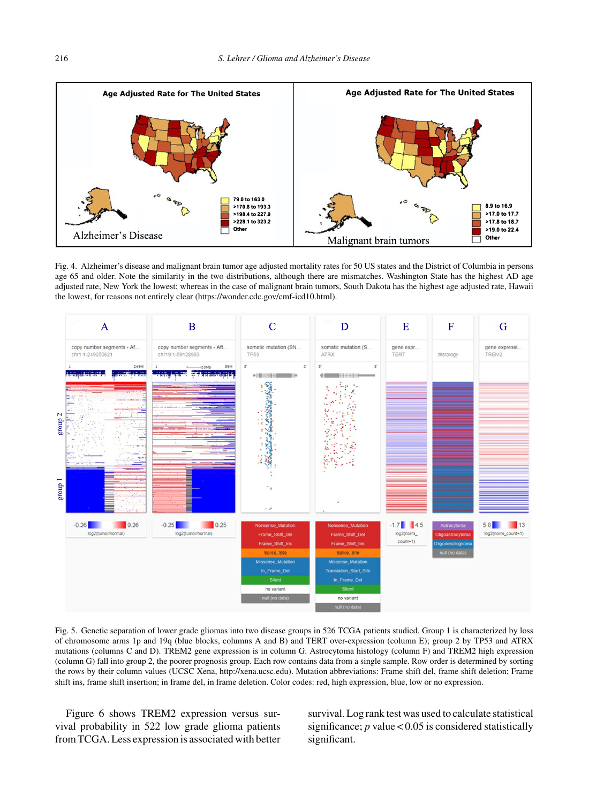

Fig. 4. Alzheimer's disease and malignant brain tumor age adjusted mortality rates for 50 US states and the District of Columbia in persons age 65 and older. Note the similarity in the two distributions, although there are mismatches. Washington State has the highest AD age adjusted rate, New York the lowest; whereas in the case of malignant brain tumors, South Dakota has the highest age adjusted rate, Hawaii the lowest, for reasons not entirely clear [\(https://wonder.cdc.gov/cmf-icd10.html](https://wonder.cdc.gov/cmf-icd10.html)).



Fig. 5. Genetic separation of lower grade gliomas into two disease groups in 526 TCGA patients studied. Group 1 is characterized by loss of chromosome arms 1p and 19q (blue blocks, columns A and B) and TERT over-expression (column E); group 2 by TP53 and ATRX mutations (columns C and D). TREM2 gene expression is in column G. Astrocytoma histology (column F) and TREM2 high expression (column G) fall into group 2, the poorer prognosis group. Each row contains data from a single sample. Row order is determined by sorting the rows by their column values (UCSC Xena, [http://xena.ucsc.edu\)](http://xena.ucsc.edu). Mutation abbreviations: Frame shift del, frame shift deletion; Frame shift ins, frame shift insertion; in frame del, in frame deletion. Color codes: red, high expression, blue, low or no expression.

Figure 6 shows TREM2 expression versus survival probability in 522 low grade glioma patients from TCGA. Less expression is associated with better

survival. Log rank test was used to calculate statistical significance;  $p$  value < 0.05 is considered statistically significant.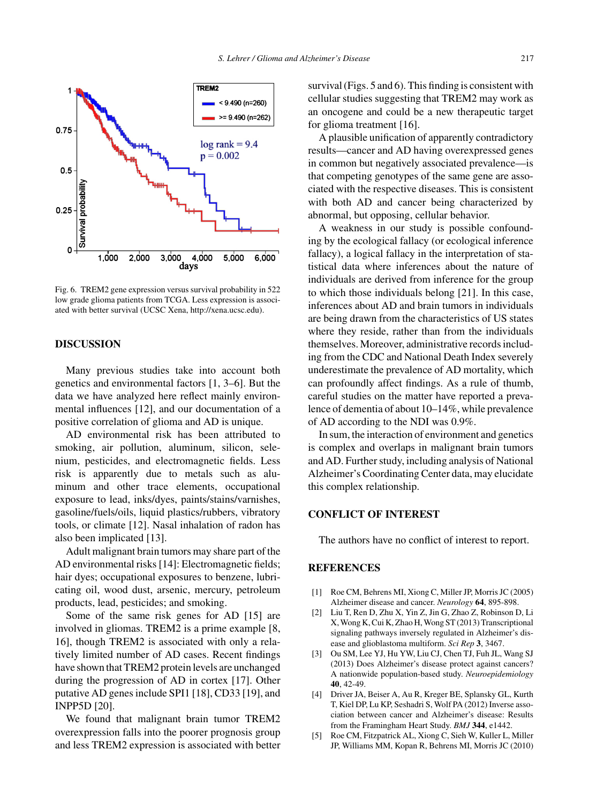

Fig. 6. TREM2 gene expression versus survival probability in 522 low grade glioma patients from TCGA. Less expression is associated with better survival (UCSC Xena, [http://xena.ucsc.edu\)](http://xena.ucsc.edu).

## **DISCUSSION**

Many previous studies take into account both genetics and environmental factors [1, 3–6]. But the data we have analyzed here reflect mainly environmental influences [12], and our documentation of a positive correlation of glioma and AD is unique.

AD environmental risk has been attributed to smoking, air pollution, aluminum, silicon, selenium, pesticides, and electromagnetic fields. Less risk is apparently due to metals such as aluminum and other trace elements, occupational exposure to lead, inks/dyes, paints/stains/varnishes, gasoline/fuels/oils, liquid plastics/rubbers, vibratory tools, or climate [12]. Nasal inhalation of radon has also been implicated [13].

Adult malignant brain tumors may share part of the AD environmental risks [14]: Electromagnetic fields; hair dyes; occupational exposures to benzene, lubricating oil, wood dust, arsenic, mercury, petroleum products, lead, pesticides; and smoking.

Some of the same risk genes for AD [15] are involved in gliomas. TREM2 is a prime example [8, 16], though TREM2 is associated with only a relatively limited number of AD cases. Recent findings have shown that TREM2 protein levels are unchanged during the progression of AD in cortex [17]. Other putative AD genes include SPI1 [18], CD33 [19], and INPP5D [20].

We found that malignant brain tumor TREM2 overexpression falls into the poorer prognosis group and less TREM2 expression is associated with better survival (Figs. 5 and 6). This finding is consistent with cellular studies suggesting that TREM2 may work as an oncogene and could be a new therapeutic target for glioma treatment [16].

A plausible unification of apparently contradictory results—cancer and AD having overexpressed genes in common but negatively associated prevalence—is that competing genotypes of the same gene are associated with the respective diseases. This is consistent with both AD and cancer being characterized by abnormal, but opposing, cellular behavior.

A weakness in our study is possible confounding by the ecological fallacy (or ecological inference fallacy), a logical fallacy in the interpretation of statistical data where inferences about the nature of individuals are derived from inference for the group to which those individuals belong [21]. In this case, inferences about AD and brain tumors in individuals are being drawn from the characteristics of US states where they reside, rather than from the individuals themselves. Moreover, administrative records including from the CDC and National Death Index severely underestimate the prevalence of AD mortality, which can profoundly affect findings. As a rule of thumb, careful studies on the matter have reported a prevalence of dementia of about 10–14%, while prevalence of AD according to the NDI was 0.9%.

In sum, the interaction of environment and genetics is complex and overlaps in malignant brain tumors and AD. Further study, including analysis of National Alzheimer's Coordinating Center data, may elucidate this complex relationship.

## **CONFLICT OF INTEREST**

The authors have no conflict of interest to report.

## **REFERENCES**

- [1] Roe CM, Behrens MI, Xiong C, Miller JP, Morris JC (2005) Alzheimer disease and cancer. *Neurology* **64**, 895-898.
- [2] Liu T, Ren D, Zhu X, Yin Z, Jin G, Zhao Z, Robinson D, Li X, Wong K, Cui K, Zhao H, Wong ST (2013) Transcriptional signaling pathways inversely regulated in Alzheimer's disease and glioblastoma multiform. *Sci Rep* **3**, 3467.
- [3] Ou SM, Lee YJ, Hu YW, Liu CJ, Chen TJ, Fuh JL, Wang SJ (2013) Does Alzheimer's disease protect against cancers? A nationwide population-based study. *Neuroepidemiology* **40**, 42-49.
- [4] Driver JA, Beiser A, Au R, Kreger BE, Splansky GL, Kurth T, Kiel DP, Lu KP, Seshadri S, Wolf PA (2012) Inverse association between cancer and Alzheimer's disease: Results from the Framingham Heart Study. *BMJ* **344**, e1442.
- [5] Roe CM, Fitzpatrick AL, Xiong C, Sieh W, Kuller L, Miller JP, Williams MM, Kopan R, Behrens MI, Morris JC (2010)